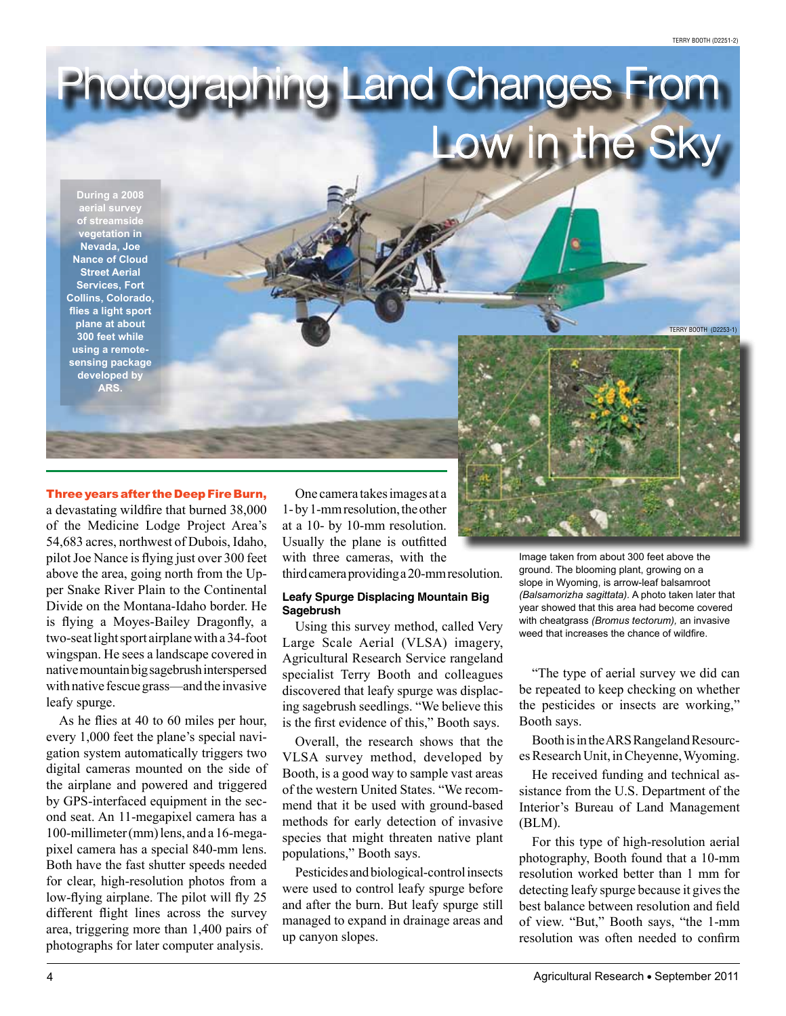Terry Booth (D2251-2)

Terry Booth (D2253-1)

# Three years after the Deep Fire Burn,

**During a 2008 aerial survey of streamside vegetation in Nevada, Joe Nance of Cloud Street Aerial Services, Fort Collins, Colorado, flies a light sport plane at about 300 feet while using a remotesensing package developed by ARS.**

a devastating wildfire that burned 38,000 of the Medicine Lodge Project Area's 54,683 acres, northwest of Dubois, Idaho, pilot Joe Nance is flying just over 300 feet above the area, going north from the Upper Snake River Plain to the Continental Divide on the Montana-Idaho border. He is flying a Moyes-Bailey Dragonfly, a two-seat light sport airplane with a 34-foot wingspan. He sees a landscape covered in native mountain big sagebrush interspersed with native fescue grass—and the invasive leafy spurge.

As he flies at 40 to 60 miles per hour, every 1,000 feet the plane's special navigation system automatically triggers two digital cameras mounted on the side of the airplane and powered and triggered by GPS-interfaced equipment in the second seat. An 11-megapixel camera has a 100-millimeter (mm) lens, and a 16-megapixel camera has a special 840-mm lens. Both have the fast shutter speeds needed for clear, high-resolution photos from a low-flying airplane. The pilot will fly 25 different flight lines across the survey area, triggering more than 1,400 pairs of photographs for later computer analysis.

One camera takes images at a 1- by 1-mm resolution, the other at a 10- by 10-mm resolution. Usually the plane is outfitted with three cameras, with the third camera providing a 20-mm resolution.

Photographing Land Changes From

## **Leafy Spurge Displacing Mountain Big Sagebrush**

Using this survey method, called Very Large Scale Aerial (VLSA) imagery, Agricultural Research Service rangeland specialist Terry Booth and colleagues discovered that leafy spurge was displacing sagebrush seedlings. "We believe this is the first evidence of this," Booth says.

Overall, the research shows that the VLSA survey method, developed by Booth, is a good way to sample vast areas of the western United States. "We recommend that it be used with ground-based methods for early detection of invasive species that might threaten native plant populations," Booth says.

Pesticides and biological-control insects were used to control leafy spurge before and after the burn. But leafy spurge still managed to expand in drainage areas and up canyon slopes.

Image taken from about 300 feet above the ground. The blooming plant, growing on a slope in Wyoming, is arrow-leaf balsamroot *(Balsamorizha sagittata).* A photo taken later that year showed that this area had become covered with cheatgrass *(Bromus tectorum),* an invasive weed that increases the chance of wildfire.

 $W$  in the  $S$ 

"The type of aerial survey we did can be repeated to keep checking on whether the pesticides or insects are working," Booth says.

Booth is in the ARS Rangeland Resources Research Unit, in Cheyenne, Wyoming.

He received funding and technical assistance from the U.S. Department of the Interior's Bureau of Land Management (BLM).

For this type of high-resolution aerial photography, Booth found that a 10-mm resolution worked better than 1 mm for detecting leafy spurge because it gives the best balance between resolution and field of view. "But," Booth says, "the 1-mm resolution was often needed to confirm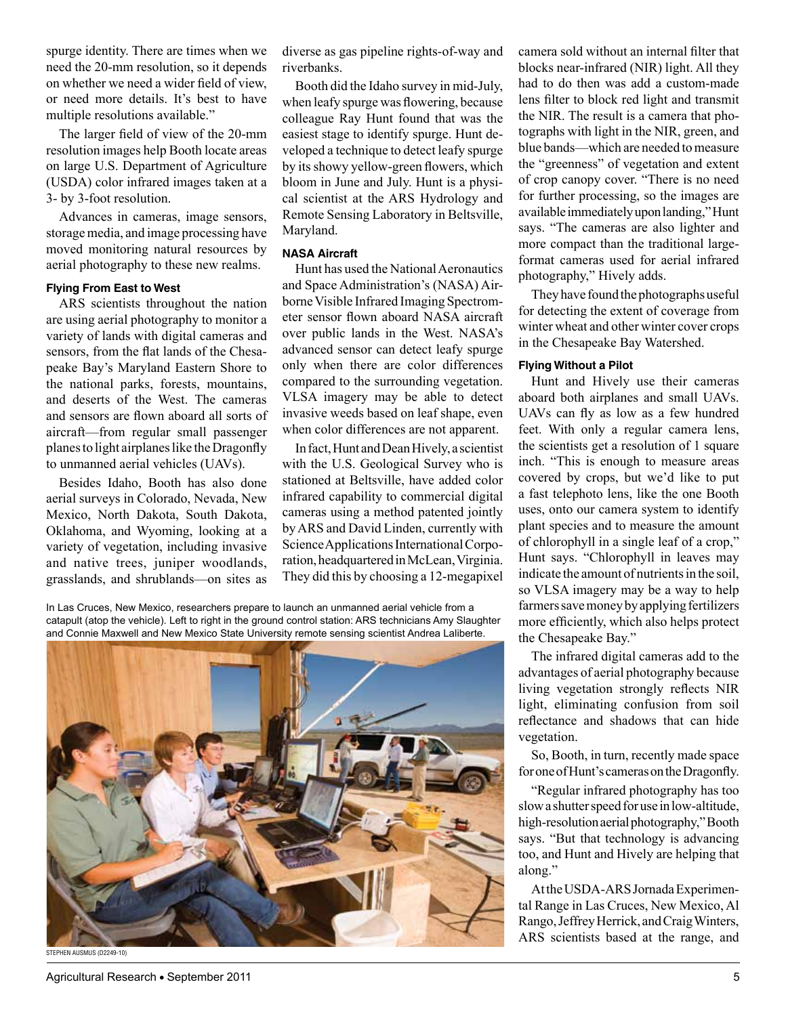spurge identity. There are times when we need the 20-mm resolution, so it depends on whether we need a wider field of view, or need more details. It's best to have multiple resolutions available."

The larger field of view of the 20-mm resolution images help Booth locate areas on large U.S. Department of Agriculture (USDA) color infrared images taken at a 3- by 3-foot resolution.

Advances in cameras, image sensors, storage media, and image processing have moved monitoring natural resources by aerial photography to these new realms.

### **Flying From East to West**

ARS scientists throughout the nation are using aerial photography to monitor a variety of lands with digital cameras and sensors, from the flat lands of the Chesapeake Bay's Maryland Eastern Shore to the national parks, forests, mountains, and deserts of the West. The cameras and sensors are flown aboard all sorts of aircraft—from regular small passenger planes to light airplanes like the Dragonfly to unmanned aerial vehicles (UAVs).

Besides Idaho, Booth has also done aerial surveys in Colorado, Nevada, New Mexico, North Dakota, South Dakota, Oklahoma, and Wyoming, looking at a variety of vegetation, including invasive and native trees, juniper woodlands, grasslands, and shrublands—on sites as

diverse as gas pipeline rights-of-way and riverbanks.

Booth did the Idaho survey in mid-July, when leafy spurge was flowering, because colleague Ray Hunt found that was the easiest stage to identify spurge. Hunt developed a technique to detect leafy spurge by its showy yellow-green flowers, which bloom in June and July. Hunt is a physical scientist at the ARS Hydrology and Remote Sensing Laboratory in Beltsville, Maryland.

# **NASA Aircraft**

Hunt has used the National Aeronautics and Space Administration's (NASA) Airborne Visible Infrared Imaging Spectrometer sensor flown aboard NASA aircraft over public lands in the West. NASA's advanced sensor can detect leafy spurge only when there are color differences compared to the surrounding vegetation. VLSA imagery may be able to detect invasive weeds based on leaf shape, even when color differences are not apparent.

In fact, Hunt and Dean Hively, a scientist with the U.S. Geological Survey who is stationed at Beltsville, have added color infrared capability to commercial digital cameras using a method patented jointly by ARS and David Linden, currently with Science Applications International Corporation, headquartered in McLean, Virginia. They did this by choosing a 12-megapixel

In Las Cruces, New Mexico, researchers prepare to launch an unmanned aerial vehicle from a catapult (atop the vehicle). Left to right in the ground control station: ARS technicians Amy Slaughter and Connie Maxwell and New Mexico State University remote sensing scientist Andrea Laliberte.



Agricultural Research • September 2011 **5** and the set of the set of the set of the set of the set of the set of the set of the set of the set of the set of the set of the set of the set of the set of the set of the set of

camera sold without an internal filter that blocks near-infrared (NIR) light. All they had to do then was add a custom-made lens filter to block red light and transmit the NIR. The result is a camera that photographs with light in the NIR, green, and blue bands—which are needed to measure the "greenness" of vegetation and extent of crop canopy cover. "There is no need for further processing, so the images are available immediately upon landing," Hunt says. "The cameras are also lighter and more compact than the traditional largeformat cameras used for aerial infrared photography," Hively adds.

They have found the photographs useful for detecting the extent of coverage from winter wheat and other winter cover crops in the Chesapeake Bay Watershed.

#### **Flying Without a Pilot**

Hunt and Hively use their cameras aboard both airplanes and small UAVs. UAVs can fly as low as a few hundred feet. With only a regular camera lens, the scientists get a resolution of 1 square inch. "This is enough to measure areas covered by crops, but we'd like to put a fast telephoto lens, like the one Booth uses, onto our camera system to identify plant species and to measure the amount of chlorophyll in a single leaf of a crop," Hunt says. "Chlorophyll in leaves may indicate the amount of nutrients in the soil, so VLSA imagery may be a way to help farmers save money by applying fertilizers more efficiently, which also helps protect the Chesapeake Bay."

The infrared digital cameras add to the advantages of aerial photography because living vegetation strongly reflects NIR light, eliminating confusion from soil reflectance and shadows that can hide vegetation.

So, Booth, in turn, recently made space for one of Hunt's cameras on the Dragonfly.

"Regular infrared photography has too slow a shutter speed for use in low-altitude, high-resolution aerial photography," Booth says. "But that technology is advancing too, and Hunt and Hively are helping that along."

At the USDA-ARS Jornada Experimental Range in Las Cruces, New Mexico, Al Rango, Jeffrey Herrick, and Craig Winters, ARS scientists based at the range, and